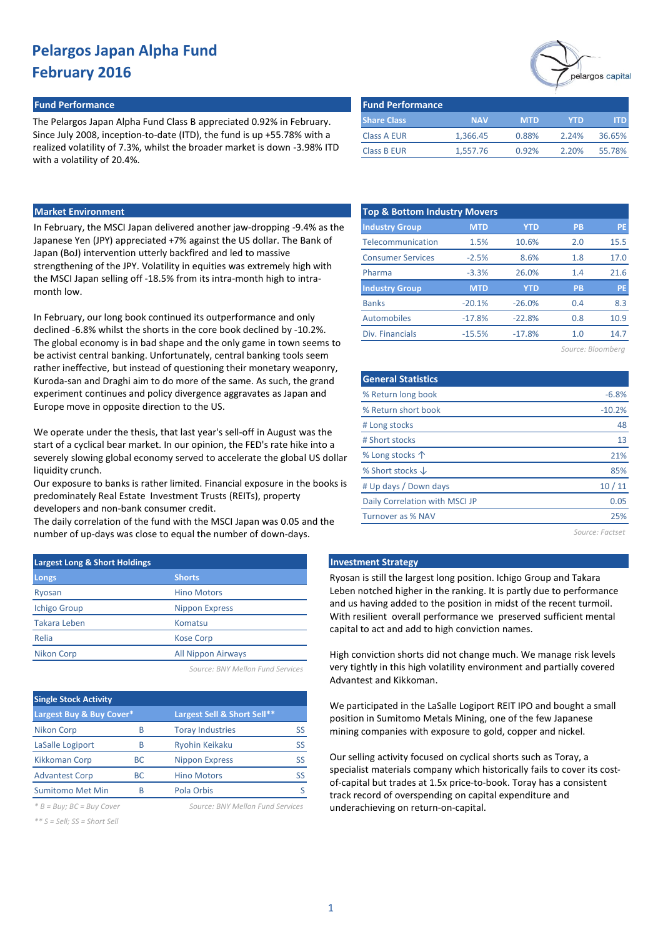#### **Fund Performance Fund Performance**

The Pelargos Japan Alpha Fund Class B appreciated 0.92% in February. Since July 2008, inception-to-date (ITD), the fund is up +55.78% with a realized volatility of 7.3%, whilst the broader market is down -3.98% ITD with a volatility of 20.4%.

| pelargos capita |
|-----------------|

| <b>Fund Performance</b> |            |            |       |        |
|-------------------------|------------|------------|-------|--------|
| <b>Share Class</b>      | <b>NAV</b> | <b>MTD</b> | YTD   | ITD    |
| Class A EUR             | 1.366.45   | 0.88%      | 2.24% | 36.65% |
| <b>Class B EUR</b>      | 1,557.76   | 0.92%      | 2.20% | 55.78% |

## **Market Environment**

In February, the MSCI Japan delivered another jaw-dropping -9.4% as the Japanese Yen (JPY) appreciated +7% against the US dollar. The Bank of Japan (BoJ) intervention utterly backfired and led to massive strengthening of the JPY. Volatility in equities was extremely high with the MSCI Japan selling off -18.5% from its intra-month high to intramonth low.

In February, our long book continued its outperformance and only declined -6.8% whilst the shorts in the core book declined by -10.2%. The global economy is in bad shape and the only game in town seems to be activist central banking. Unfortunately, central banking tools seem rather ineffective, but instead of questioning their monetary weaponry, Kuroda-san and Draghi aim to do more of the same. As such, the grand experiment continues and policy divergence aggravates as Japan and Europe move in opposite direction to the US.

We operate under the thesis, that last year's sell-off in August was the start of a cyclical bear market. In our opinion, the FED's rate hike into a severely slowing global economy served to accelerate the global US dollar liquidity crunch.

Our exposure to banks is rather limited. Financial exposure in the books is predominately Real Estate Investment Trusts (REITs), property developers and non-bank consumer credit.

The daily correlation of the fund with the MSCI Japan was 0.05 and the number of up-days was close to equal the number of down-days.

| <b>Largest Long &amp; Short Holdings</b> |                           |  |  |  |  |  |  |  |
|------------------------------------------|---------------------------|--|--|--|--|--|--|--|
| Longs                                    | <b>Shorts</b>             |  |  |  |  |  |  |  |
| Ryosan                                   | <b>Hino Motors</b>        |  |  |  |  |  |  |  |
| <b>Ichigo Group</b>                      | <b>Nippon Express</b>     |  |  |  |  |  |  |  |
| <b>Takara Leben</b>                      | Komatsu                   |  |  |  |  |  |  |  |
| Relia                                    | <b>Kose Corp</b>          |  |  |  |  |  |  |  |
| <b>Nikon Corp</b>                        | <b>All Nippon Airways</b> |  |  |  |  |  |  |  |
|                                          |                           |  |  |  |  |  |  |  |

*Source: BNY Mellon Fund Services*

| <b>Single Stock Activity</b> |    |                             |    |  |  |  |  |  |
|------------------------------|----|-----------------------------|----|--|--|--|--|--|
| Largest Buy & Buy Cover*     |    | Largest Sell & Short Sell** |    |  |  |  |  |  |
| <b>Nikon Corp</b>            | B  | <b>Toray Industries</b>     | SS |  |  |  |  |  |
| LaSalle Logiport             | R  | <b>Ryohin Keikaku</b>       | SS |  |  |  |  |  |
| <b>Kikkoman Corp</b>         | ВC | <b>Nippon Express</b>       | SS |  |  |  |  |  |
| <b>Advantest Corp</b>        | ВC | <b>Hino Motors</b>          | SS |  |  |  |  |  |
| <b>Sumitomo Met Min</b>      |    | Pola Orbis                  |    |  |  |  |  |  |

*\* B = Buy; BC = Buy Cover Source: BNY Mellon Fund Services*

*\*\* S = Sell; SS = Short Sell*

| <b>Top &amp; Bottom Industry Movers</b> |            |            |                   |      |  |  |  |  |  |
|-----------------------------------------|------------|------------|-------------------|------|--|--|--|--|--|
| <b>Industry Group</b>                   | <b>MTD</b> | <b>YTD</b> | <b>PB</b>         | PE   |  |  |  |  |  |
| Telecommunication                       | 1.5%       | 10.6%      | 2.0               | 15.5 |  |  |  |  |  |
| <b>Consumer Services</b>                | $-2.5%$    | 8.6%       | 1.8               | 17.0 |  |  |  |  |  |
| Pharma                                  | $-3.3%$    | 26.0%      | 1.4               | 21.6 |  |  |  |  |  |
| <b>Industry Group</b>                   | <b>MTD</b> | <b>YTD</b> | <b>PB</b>         | PE   |  |  |  |  |  |
| <b>Banks</b>                            | $-20.1%$   | $-26.0%$   | 0.4               | 8.3  |  |  |  |  |  |
| Automobiles                             | $-17.8%$   | $-22.8%$   | 0.8               | 10.9 |  |  |  |  |  |
| Div. Financials                         | $-15.5%$   | $-17.8%$   | 1.0               | 14.7 |  |  |  |  |  |
|                                         |            |            | Source: Bloombera |      |  |  |  |  |  |

| <b>General Statistics</b>      |          |
|--------------------------------|----------|
| % Return long book             | $-6.8%$  |
| % Return short book            | $-10.2%$ |
| # Long stocks                  | 48       |
| # Short stocks                 | 13       |
| % Long stocks $\uparrow$       | 21%      |
| % Short stocks $\downarrow$    | 85%      |
| # Up days / Down days          | 10/11    |
| Daily Correlation with MSCI JP | 0.05     |
| <b>Turnover as % NAV</b>       | 25%      |
|                                |          |

*Source: Factset*

#### **Investment Strategy**

Ryosan is still the largest long position. Ichigo Group and Takara Leben notched higher in the ranking. It is partly due to performance and us having added to the position in midst of the recent turmoil. With resilient overall performance we preserved sufficient mental capital to act and add to high conviction names.

High conviction shorts did not change much. We manage risk levels very tightly in this high volatility environment and partially covered Advantest and Kikkoman.

We participated in the LaSalle Logiport REIT IPO and bought a small position in Sumitomo Metals Mining, one of the few Japanese mining companies with exposure to gold, copper and nickel.

Our selling activity focused on cyclical shorts such as Toray, a specialist materials company which historically fails to cover its costof-capital but trades at 1.5x price-to-book. Toray has a consistent track record of overspending on capital expenditure and underachieving on return-on-capital.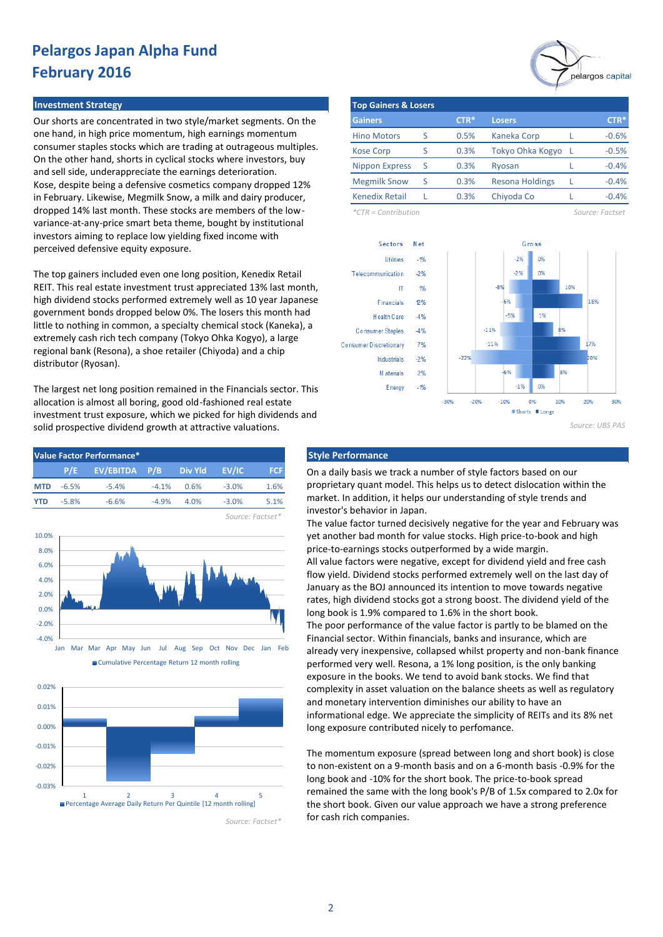#### **Investment Strategy**

Our shorts are concentrated in two style/market segments. On the one hand, in high price momentum, high earnings momentum consumer staples stocks which are trading at outrageous multiples. On the other hand, shorts in cyclical stocks where investors, buy and sell side, underappreciate the earnings deterioration. Kose, despite being a defensive cosmetics company dropped 12% in February. Likewise, Megmilk Snow, a milk and dairy producer, dropped 14% last month. These stocks are members of the lowvariance-at-any-price smart beta theme, bought by institutional investors aiming to replace low yielding fixed income with perceived defensive equity exposure.

The top gainers included even one long position, Kenedix Retail REIT. This real estate investment trust appreciated 13% last month, high dividend stocks performed extremely well as 10 year Japanese government bonds dropped below 0%. The losers this month had little to nothing in common, a specialty chemical stock (Kaneka), a extremely cash rich tech company (Tokyo Ohka Kogyo), a large regional bank (Resona), a shoe retailer (Chiyoda) and a chip distributor (Ryosan).

The largest net long position remained in the Financials sector. This allocation is almost all boring, good old-fashioned real estate investment trust exposure, which we picked for high dividends and solid prospective dividend growth at attractive valuations.



Cumulative Percentage Return 12 month rolling



*Source: Factset\**



| <b>Top Gainers &amp; Losers</b> |   |        |                        |  |         |  |  |  |  |
|---------------------------------|---|--------|------------------------|--|---------|--|--|--|--|
| <b>Gainers</b>                  |   | $CTR*$ | <b>Losers</b>          |  | $CTR*$  |  |  |  |  |
| <b>Hino Motors</b>              | S | 0.5%   | <b>Kaneka Corp</b>     |  | $-0.6%$ |  |  |  |  |
| <b>Kose Corp</b>                | S | 0.3%   | Tokyo Ohka Kogyo       |  | $-0.5%$ |  |  |  |  |
| <b>Nippon Express</b>           | S | 0.3%   | Ryosan                 |  | $-0.4%$ |  |  |  |  |
| <b>Megmilk Snow</b>             | S | 0.3%   | <b>Resona Holdings</b> |  | $-0.4%$ |  |  |  |  |
| <b>Kenedix Retail</b>           |   | 0.3%   | Chiyoda Co             |  | $-0.4%$ |  |  |  |  |

*\*CTR = Contribution Source: Factset*



*Source: UBS PAS*

On a daily basis we track a number of style factors based on our proprietary quant model. This helps us to detect dislocation within the market. In addition, it helps our understanding of style trends and investor's behavior in Japan.

The value factor turned decisively negative for the year and February was yet another bad month for value stocks. High price-to-book and high price-to-earnings stocks outperformed by a wide margin. All value factors were negative, except for dividend yield and free cash flow yield. Dividend stocks performed extremely well on the last day of January as the BOJ announced its intention to move towards negative rates, high dividend stocks got a strong boost. The dividend yield of the long book is 1.9% compared to 1.6% in the short book. The poor performance of the value factor is partly to be blamed on the Financial sector. Within financials, banks and insurance, which are already very inexpensive, collapsed whilst property and non-bank finance performed very well. Resona, a 1% long position, is the only banking exposure in the books. We tend to avoid bank stocks. We find that

complexity in asset valuation on the balance sheets as well as regulatory and monetary intervention diminishes our ability to have an informational edge. We appreciate the simplicity of REITs and its 8% net long exposure contributed nicely to perfomance.

The momentum exposure (spread between long and short book) is close to non-existent on a 9-month basis and on a 6-month basis -0.9% for the long book and -10% for the short book. The price-to-book spread remained the same with the long book's P/B of 1.5x compared to 2.0x for the short book. Given our value approach we have a strong preference for cash rich companies.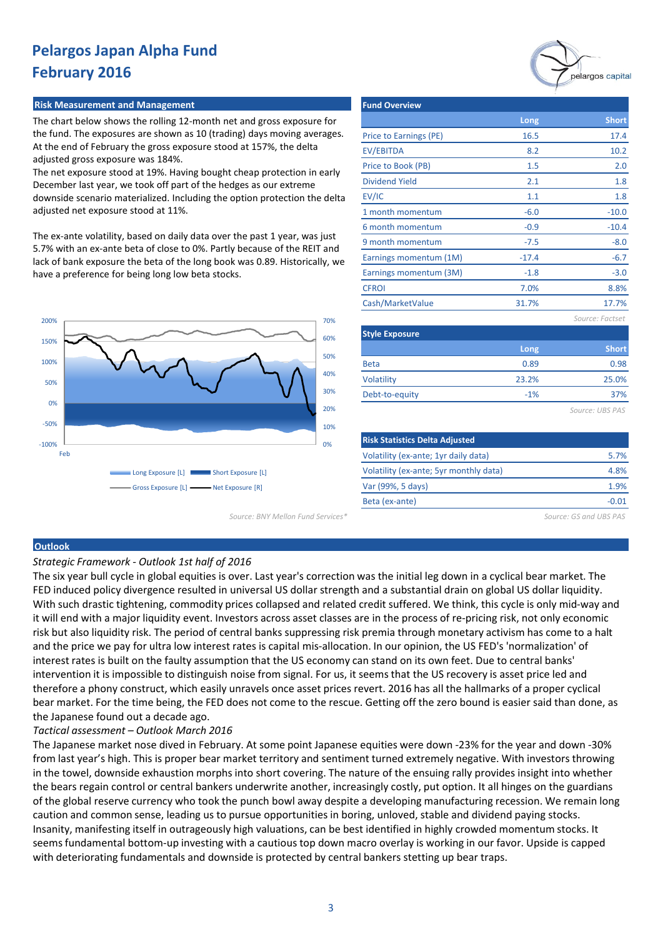#### **Risk Measurement and Management Fund Overview Fund Overview**

The chart below shows the rolling 12-month net and gross exposure for the fund. The exposures are shown as 10 (trading) days moving averages. At the end of February the gross exposure stood at 157%, the delta adjusted gross exposure was 184%.

The net exposure stood at 19%. Having bought cheap protection in early December last year, we took off part of the hedges as our extreme downside scenario materialized. Including the option protection the delta adjusted net exposure stood at 11%.

The ex-ante volatility, based on daily data over the past 1 year, was just 5.7% with an ex-ante beta of close to 0%. Partly because of the REIT and lack of bank exposure the beta of the long book was 0.89. Historically, we have a preference for being long low beta stocks.



Price to Earnings (PE) EV/EBITDA Price to Book (PB) Dividend Yield EV/IC 1 month momentum 6 month momentum 9 month momentum Earnings momentum (1M) Earnings momentum (3M) **CFROI** Cash/MarketValue *Source: Factset* **Style Exposure** Beta Volatility -3.0 7.0% 8.8% 31.7% 17.7% **Short** -10.4 -8.0 -6.7 **Short** 17.4 1.8 10.2 2.0 0.98 25.0% -0.9 1.8 -10.0 23.2% 0.89 16.5 -7.5 **Long** -1.8 8.2  $-17.4$ 1.5 2.1 1.1 -6.0 **Long**

**Risk Statistics Delta Adjusted** Volatility (ex-ante; 1yr daily data) Volatility (ex-ante; 5yr monthly data) Var (99%, 5 days) Beta (ex-ante) -0.01 5.7% 4.8% 1.9%

-1%

*Source: BNY Mellon Fund Services\* Source: GS and UBS PAS*

#### **Outlook**

*Strategic Framework - Outlook 1st half of 2016* 

The six year bull cycle in global equities is over. Last year's correction was the initial leg down in a cyclical bear market. The FED induced policy divergence resulted in universal US dollar strength and a substantial drain on global US dollar liquidity. With such drastic tightening, commodity prices collapsed and related credit suffered. We think, this cycle is only mid-way and it will end with a major liquidity event. Investors across asset classes are in the process of re-pricing risk, not only economic risk but also liquidity risk. The period of central banks suppressing risk premia through monetary activism has come to a halt and the price we pay for ultra low interest rates is capital mis-allocation. In our opinion, the US FED's 'normalization' of interest rates is built on the faulty assumption that the US economy can stand on its own feet. Due to central banks' intervention it is impossible to distinguish noise from signal. For us, it seems that the US recovery is asset price led and therefore a phony construct, which easily unravels once asset prices revert. 2016 has all the hallmarks of a proper cyclical bear market. For the time being, the FED does not come to the rescue. Getting off the zero bound is easier said than done, as the Japanese found out a decade ago.

Debt-to-equity

### *Tactical assessment – Outlook March 2016*

The Japanese market nose dived in February. At some point Japanese equities were down -23% for the year and down -30% from last year's high. This is proper bear market territory and sentiment turned extremely negative. With investors throwing in the towel, downside exhaustion morphs into short covering. The nature of the ensuing rally provides insight into whether the bears regain control or central bankers underwrite another, increasingly costly, put option. It all hinges on the guardians of the global reserve currency who took the punch bowl away despite a developing manufacturing recession. We remain long caution and common sense, leading us to pursue opportunities in boring, unloved, stable and dividend paying stocks. Insanity, manifesting itself in outrageously high valuations, can be best identified in highly crowded momentum stocks. It seems fundamental bottom-up investing with a cautious top down macro overlay is working in our favor. Upside is capped with deteriorating fundamentals and downside is protected by central bankers stetting up bear traps.



*Source: UBS PAS*

37%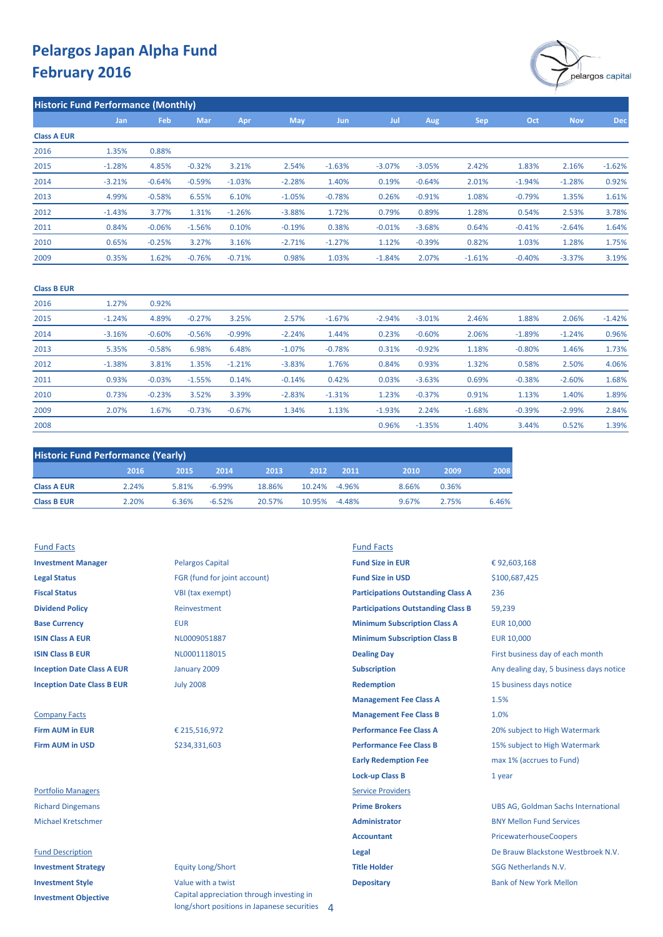

| <b>Historic Fund Performance (Monthly)</b> |          |          |            |          |            |            |          |          |          |          |            |            |
|--------------------------------------------|----------|----------|------------|----------|------------|------------|----------|----------|----------|----------|------------|------------|
|                                            | Jan      | Feb      | <b>Mar</b> | Apr      | <b>May</b> | <b>Jun</b> | Jul      | Aug      | Sep      | Oct      | <b>Nov</b> | <b>Dec</b> |
| <b>Class A EUR</b>                         |          |          |            |          |            |            |          |          |          |          |            |            |
| 2016                                       | 1.35%    | 0.88%    |            |          |            |            |          |          |          |          |            |            |
| 2015                                       | $-1.28%$ | 4.85%    | $-0.32%$   | 3.21%    | 2.54%      | $-1.63%$   | $-3.07%$ | $-3.05%$ | 2.42%    | 1.83%    | 2.16%      | $-1.62%$   |
| 2014                                       | $-3.21%$ | $-0.64%$ | $-0.59%$   | $-1.03%$ | $-2.28%$   | 1.40%      | 0.19%    | $-0.64%$ | 2.01%    | $-1.94%$ | $-1.28%$   | 0.92%      |
| 2013                                       | 4.99%    | $-0.58%$ | 6.55%      | 6.10%    | $-1.05%$   | $-0.78%$   | 0.26%    | $-0.91%$ | 1.08%    | $-0.79%$ | 1.35%      | 1.61%      |
| 2012                                       | $-1.43%$ | 3.77%    | 1.31%      | $-1.26%$ | $-3.88%$   | 1.72%      | 0.79%    | 0.89%    | 1.28%    | 0.54%    | 2.53%      | 3.78%      |
| 2011                                       | 0.84%    | $-0.06%$ | $-1.56%$   | 0.10%    | $-0.19%$   | 0.38%      | $-0.01%$ | $-3.68%$ | 0.64%    | $-0.41%$ | $-2.64%$   | 1.64%      |
| 2010                                       | 0.65%    | $-0.25%$ | 3.27%      | 3.16%    | $-2.71%$   | $-1.27%$   | 1.12%    | $-0.39%$ | 0.82%    | 1.03%    | 1.28%      | 1.75%      |
| 2009                                       | 0.35%    | 1.62%    | $-0.76%$   | $-0.71%$ | 0.98%      | 1.03%      | $-1.84%$ | 2.07%    | $-1.61%$ | $-0.40%$ | $-3.37%$   | 3.19%      |
|                                            |          |          |            |          |            |            |          |          |          |          |            |            |

#### **Class B EUR**

| 2016 | 1.27%    | 0.92%    |          |          |          |          |          |          |          |          |          |          |
|------|----------|----------|----------|----------|----------|----------|----------|----------|----------|----------|----------|----------|
| 2015 | $-1.24%$ | 4.89%    | $-0.27%$ | 3.25%    | 2.57%    | $-1.67%$ | $-2.94%$ | $-3.01%$ | 2.46%    | 1.88%    | 2.06%    | $-1.42%$ |
| 2014 | $-3.16%$ | $-0.60%$ | $-0.56%$ | $-0.99%$ | $-2.24%$ | 1.44%    | 0.23%    | $-0.60%$ | 2.06%    | $-1.89%$ | $-1.24%$ | 0.96%    |
| 2013 | 5.35%    | $-0.58%$ | 6.98%    | 6.48%    | $-1.07%$ | $-0.78%$ | 0.31%    | $-0.92%$ | 1.18%    | $-0.80%$ | 1.46%    | 1.73%    |
| 2012 | $-1.38%$ | 3.81%    | 1.35%    | $-1.21%$ | $-3.83%$ | 1.76%    | 0.84%    | 0.93%    | 1.32%    | 0.58%    | 2.50%    | 4.06%    |
| 2011 | 0.93%    | $-0.03%$ | $-1.55%$ | 0.14%    | $-0.14%$ | 0.42%    | 0.03%    | $-3.63%$ | 0.69%    | $-0.38%$ | $-2.60%$ | 1.68%    |
| 2010 | 0.73%    | $-0.23%$ | 3.52%    | 3.39%    | $-2.83%$ | $-1.31%$ | 1.23%    | $-0.37%$ | 0.91%    | 1.13%    | 1.40%    | 1.89%    |
| 2009 | 2.07%    | 1.67%    | $-0.73%$ | $-0.67%$ | 1.34%    | 1.13%    | $-1.93%$ | 2.24%    | $-1.68%$ | $-0.39%$ | $-2.99%$ | 2.84%    |
| 2008 |          |          |          |          |          |          | 0.96%    | $-1.35%$ | 1.40%    | 3.44%    | 0.52%    | 1.39%    |

| <b>Historic Fund Performance (Yearly)</b> |       |       |          |        |               |      |       |       |       |
|-------------------------------------------|-------|-------|----------|--------|---------------|------|-------|-------|-------|
|                                           | 2016  | 2015  | 2014     | 2013   | 2012          | 2011 | 2010  | 2009  | 2008  |
| <b>Class A EUR</b>                        | 2.24% | 5.81% | $-6.99%$ | 18.86% | 10.24% -4.96% |      | 8.66% | 0.36% |       |
| <b>Class B EUR</b>                        | 2.20% | 6.36% | $-6.52%$ | 20.57% | 10.95% -4.48% |      | 9.67% | 2.75% | 6.46% |

**Investment Objective**

| <b>Fund Facts</b>                 |                              | <b>Fund Facts</b>                         |                                            |
|-----------------------------------|------------------------------|-------------------------------------------|--------------------------------------------|
| <b>Investment Manager</b>         | <b>Pelargos Capital</b>      | <b>Fund Size in EUR</b>                   | €92,603,168                                |
| <b>Legal Status</b>               | FGR (fund for joint account) | <b>Fund Size in USD</b>                   | \$100,687,425                              |
| <b>Fiscal Status</b>              | VBI (tax exempt)             | <b>Participations Outstanding Class A</b> | 236                                        |
| <b>Dividend Policy</b>            | Reinvestment                 | <b>Participations Outstanding Class B</b> | 59,239                                     |
| <b>Base Currency</b>              | <b>EUR</b>                   | <b>Minimum Subscription Class A</b>       | <b>EUR 10,000</b>                          |
| <b>ISIN Class A EUR</b>           | NL0009051887                 | <b>Minimum Subscription Class B</b>       | <b>EUR 10,000</b>                          |
| <b>ISIN Class B EUR</b>           | NL0001118015                 | <b>Dealing Day</b>                        | First business day of each month           |
| <b>Inception Date Class A EUR</b> | January 2009                 | <b>Subscription</b>                       | Any dealing day, 5 business days notice    |
| <b>Inception Date Class B EUR</b> | <b>July 2008</b>             | <b>Redemption</b>                         | 15 business days notice                    |
|                                   |                              | <b>Management Fee Class A</b>             | 1.5%                                       |
| <b>Company Facts</b>              |                              | <b>Management Fee Class B</b>             | 1.0%                                       |
| <b>Firm AUM in EUR</b>            | € 215,516,972                | <b>Performance Fee Class A</b>            | 20% subject to High Watermark              |
| <b>Firm AUM in USD</b>            | \$234,331,603                | <b>Performance Fee Class B</b>            | 15% subject to High Watermark              |
|                                   |                              | <b>Early Redemption Fee</b>               | max 1% (accrues to Fund)                   |
|                                   |                              | <b>Lock-up Class B</b>                    | 1 year                                     |
| <b>Portfolio Managers</b>         |                              | <b>Service Providers</b>                  |                                            |
| <b>Richard Dingemans</b>          |                              | <b>Prime Brokers</b>                      | <b>UBS AG, Goldman Sachs International</b> |
| <b>Michael Kretschmer</b>         |                              | <b>Administrator</b>                      | <b>BNY Mellon Fund Services</b>            |
|                                   |                              | <b>Accountant</b>                         | <b>PricewaterhouseCoopers</b>              |
| <b>Fund Description</b>           |                              | Legal                                     | De Brauw Blackstone Westbroek N.V.         |
| <b>Investment Strategy</b>        | <b>Equity Long/Short</b>     | <b>Title Holder</b>                       | <b>SGG Netherlands N.V.</b>                |
| <b>Investment Style</b>           | Value with a twist           | <b>Depositary</b>                         | <b>Bank of New York Mellon</b>             |

Capital appreciation through investing in long/short positions in Japanese securities 4